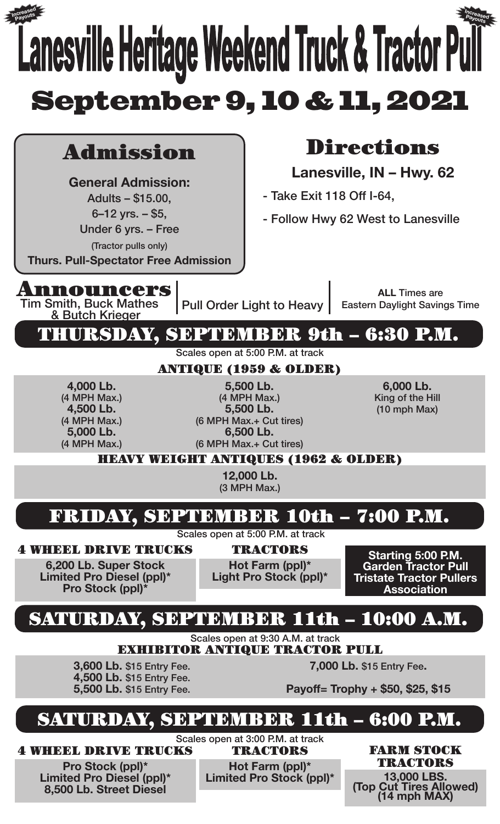### **Lanesville Heritage Weekend Truck & Tractor Pull** September 9, 10 & 11, 2021 Admission **General Admission:** Adults – \$15.00,  $6 - 12$  yrs.  $-$  \$5, Under 6 yrs. – Free (Tractor pulls only) **Thurs. Pull-Spectator Free Admission** Announcers Tim Smith, Buck Mathes<br>& Butch Krieger Pull Order Light to Heavy Directions **Lanesville, IN – Hwy. 62** - Take Exit 118 Off I-64, - Follow Hwy 62 West to Lanesville **ALL** Times are Eastern Daylight Savings Time THURSDAY, SEPTEMBER 9th – 6:30 P.M. FRIDAY, SEPTEMBER 10th – 7:00 P.M. SATURDAY, SEPTEMBER 11th – 10:00 A.M. SEPTEMBER 11th - 6:00 P.M. Scales open at 5:00 P.M. at track Scales open at 5:00 P.M. at track Scales open at 9:30 A.M. at track ANTIQUE (1959 & OLDER) HEAVY WEIGHT ANTIQUES (1962 & OLDER) **4,000 Lb.** (4 MPH Max.) **4,500 Lb.** (4 MPH Max.) **5,000 Lb.** (4 MPH Max.) **5,500 Lb.** (4 MPH Max.) **5,500 Lb.** (6 MPH Max.+ Cut tires) **6,500 Lb.** (6 MPH Max.+ Cut tires) **6,000 Lb.** King of the Hill (10 mph Max) **12,000 Lb.** (3 MPH Max.) 4 WHEEL DRIVE TRUCKS **6,200 Lb. Super Stock Limited Pro Diesel (ppl)\* Pro Stock (ppl)** TRACTORS **Hot Farm (ppl)\* Light Pro Stock (ppl)\* Starting 5:00 P.M. Garden Tractor Pull Tristate Tractor Pullers Association** EXHIBITOR ANTIQUE TRACTOR PULL **3,600 Lb.** \$15 Entry Fee. **4,500 Lb.** \$15 Entry Fee. **5,500 Lb.** \$15 Entry Fee. **7,000 Lb.** \$15 Entry Fee**. Payoff= Trophy + \$50, \$25, \$15 Increased Payouts Increased Payouts**

4 WHEEL DRIVE TRUCKS

**Pro Stock (ppl)\* Limited Pro Diesel (ppl)\* 8,500 Lb. Street Diesel**

Scales open at 3:00 P.M. at track

**Hot Farm (ppl)\***

TRACTORS FARM STOCK TRACTORS

**Limited Pro Stock (ppl)\* 13,000 LBS. (Top Cut Tires Allowed) (14 mph MAX)**